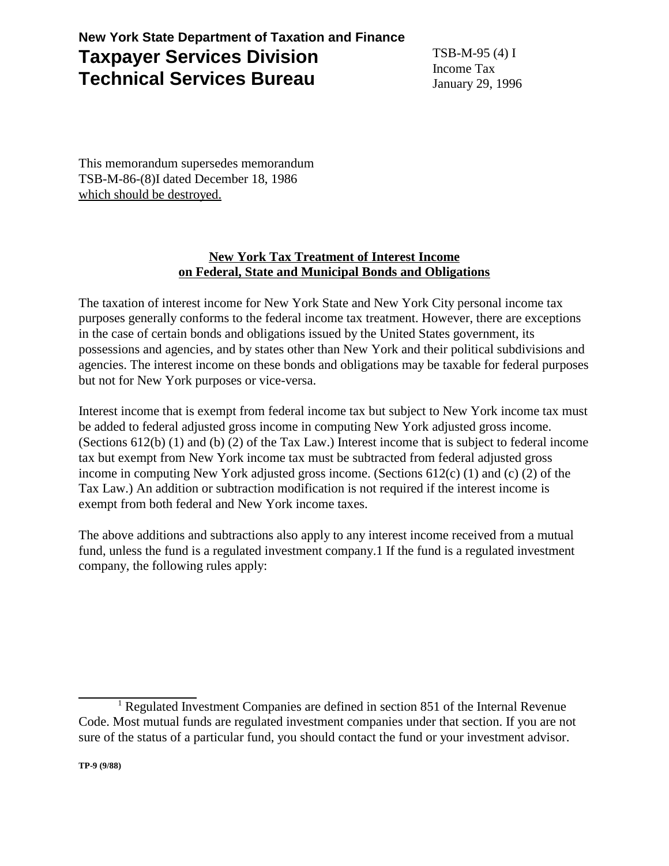## **New York State Department of Taxation and Finance Taxpayer Services Division Technical Services Bureau**

TSB-M-95 (4) I Income Tax January 29, 1996

This memorandum supersedes memorandum TSB-M-86-(8)I dated December 18, 1986 which should be destroyed.

## **New York Tax Treatment of Interest Income on Federal, State and Municipal Bonds and Obligations**

The taxation of interest income for New York State and New York City personal income tax purposes generally conforms to the federal income tax treatment. However, there are exceptions in the case of certain bonds and obligations issued by the United States government, its possessions and agencies, and by states other than New York and their political subdivisions and agencies. The interest income on these bonds and obligations may be taxable for federal purposes but not for New York purposes or vice-versa.

Interest income that is exempt from federal income tax but subject to New York income tax must be added to federal adjusted gross income in computing New York adjusted gross income. (Sections 612(b) (1) and (b) (2) of the Tax Law.) Interest income that is subject to federal income tax but exempt from New York income tax must be subtracted from federal adjusted gross income in computing New York adjusted gross income. (Sections 612(c) (1) and (c) (2) of the Tax Law.) An addition or subtraction modification is not required if the interest income is exempt from both federal and New York income taxes.

The above additions and subtractions also apply to any interest income received from a mutual fund, unless the fund is a regulated investment company.1 If the fund is a regulated investment company, the following rules apply:

<sup>&</sup>lt;sup>1</sup> Regulated Investment Companies are defined in section 851 of the Internal Revenue Code. Most mutual funds are regulated investment companies under that section. If you are not sure of the status of a particular fund, you should contact the fund or your investment advisor.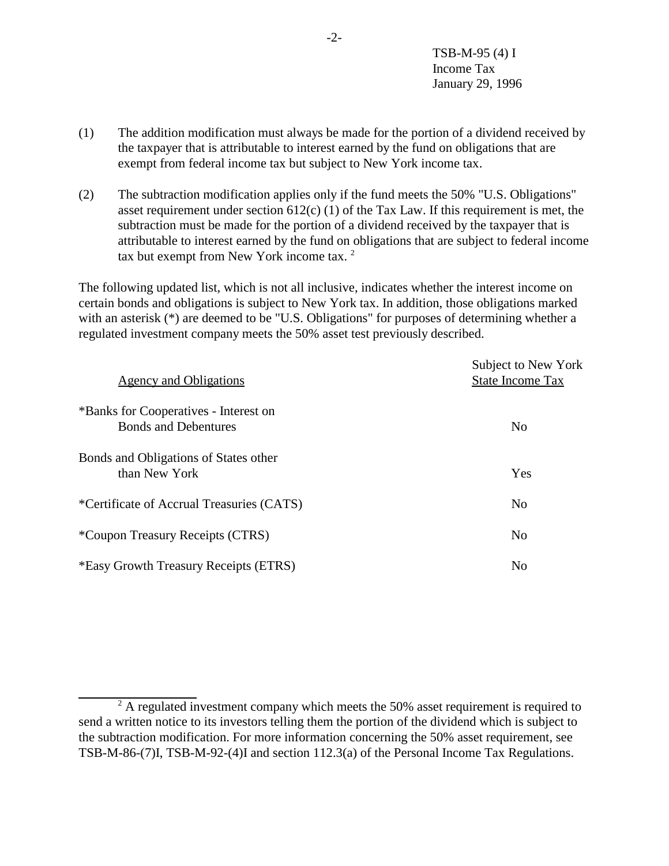- (1) The addition modification must always be made for the portion of a dividend received by the taxpayer that is attributable to interest earned by the fund on obligations that are exempt from federal income tax but subject to New York income tax.
- (2) The subtraction modification applies only if the fund meets the 50% "U.S. Obligations" asset requirement under section  $612(c)$  (1) of the Tax Law. If this requirement is met, the subtraction must be made for the portion of a dividend received by the taxpayer that is attributable to interest earned by the fund on obligations that are subject to federal income tax but exempt from New York income tax.<sup>2</sup>

The following updated list, which is not all inclusive, indicates whether the interest income on certain bonds and obligations is subject to New York tax. In addition, those obligations marked with an asterisk (\*) are deemed to be "U.S. Obligations" for purposes of determining whether a regulated investment company meets the 50% asset test previously described.

| Agency and Obligations                                               | Subject to New York<br><b>State Income Tax</b> |
|----------------------------------------------------------------------|------------------------------------------------|
| *Banks for Cooperatives - Interest on<br><b>Bonds and Debentures</b> | N <sub>o</sub>                                 |
| Bonds and Obligations of States other<br>than New York               | Yes                                            |
| *Certificate of Accrual Treasuries (CATS)                            | N <sub>o</sub>                                 |
| *Coupon Treasury Receipts (CTRS)                                     | N <sub>0</sub>                                 |
| *Easy Growth Treasury Receipts (ETRS)                                | N <sub>o</sub>                                 |

 $2^2$  A regulated investment company which meets the 50% asset requirement is required to send a written notice to its investors telling them the portion of the dividend which is subject to the subtraction modification. For more information concerning the 50% asset requirement, see TSB-M-86-(7)I, TSB-M-92-(4)I and section 112.3(a) of the Personal Income Tax Regulations.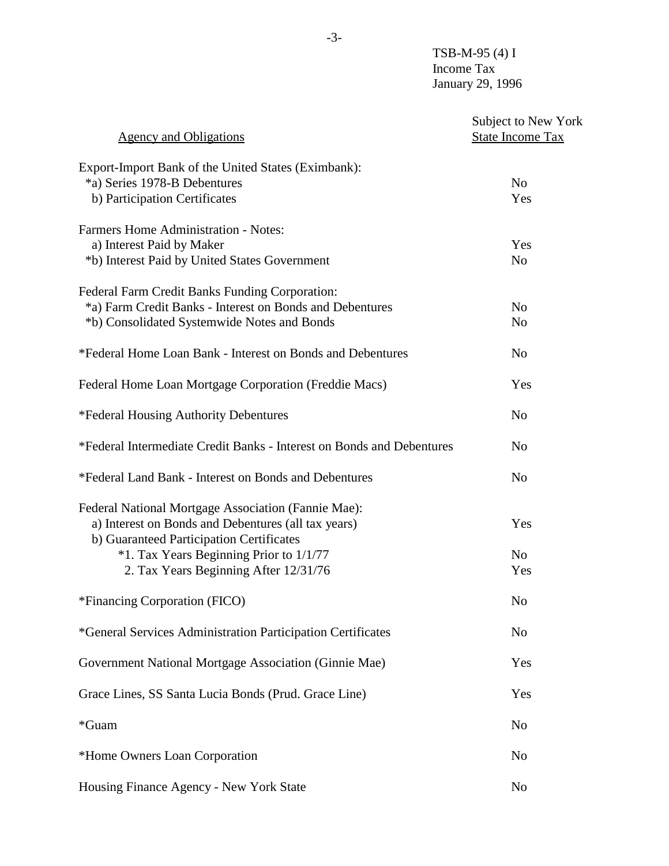| <b>Agency and Obligations</b>                                                                   | Subject to New York<br><b>State Income Tax</b> |
|-------------------------------------------------------------------------------------------------|------------------------------------------------|
| Export-Import Bank of the United States (Eximbank):                                             |                                                |
| *a) Series 1978-B Debentures                                                                    | N <sub>o</sub>                                 |
| b) Participation Certificates                                                                   | Yes                                            |
| <b>Farmers Home Administration - Notes:</b>                                                     |                                                |
| a) Interest Paid by Maker                                                                       | Yes                                            |
| *b) Interest Paid by United States Government                                                   | N <sub>o</sub>                                 |
| Federal Farm Credit Banks Funding Corporation:                                                  |                                                |
| *a) Farm Credit Banks - Interest on Bonds and Debentures                                        | N <sub>o</sub>                                 |
| *b) Consolidated Systemwide Notes and Bonds                                                     | N <sub>0</sub>                                 |
| *Federal Home Loan Bank - Interest on Bonds and Debentures                                      | N <sub>o</sub>                                 |
| Federal Home Loan Mortgage Corporation (Freddie Macs)                                           | Yes                                            |
| *Federal Housing Authority Debentures                                                           | N <sub>o</sub>                                 |
| *Federal Intermediate Credit Banks - Interest on Bonds and Debentures                           | N <sub>o</sub>                                 |
| *Federal Land Bank - Interest on Bonds and Debentures                                           | N <sub>o</sub>                                 |
| Federal National Mortgage Association (Fannie Mae):                                             |                                                |
| a) Interest on Bonds and Debentures (all tax years)<br>b) Guaranteed Participation Certificates | Yes                                            |
| *1. Tax Years Beginning Prior to 1/1/77                                                         | N <sub>o</sub>                                 |
| 2. Tax Years Beginning After 12/31/76                                                           | Yes                                            |
|                                                                                                 |                                                |
| *Financing Corporation (FICO)                                                                   | No                                             |
| *General Services Administration Participation Certificates                                     | N <sub>o</sub>                                 |
| Government National Mortgage Association (Ginnie Mae)                                           | Yes                                            |
| Grace Lines, SS Santa Lucia Bonds (Prud. Grace Line)                                            | Yes                                            |
| *Guam                                                                                           | N <sub>o</sub>                                 |
| *Home Owners Loan Corporation                                                                   | N <sub>0</sub>                                 |
| Housing Finance Agency - New York State                                                         | N <sub>0</sub>                                 |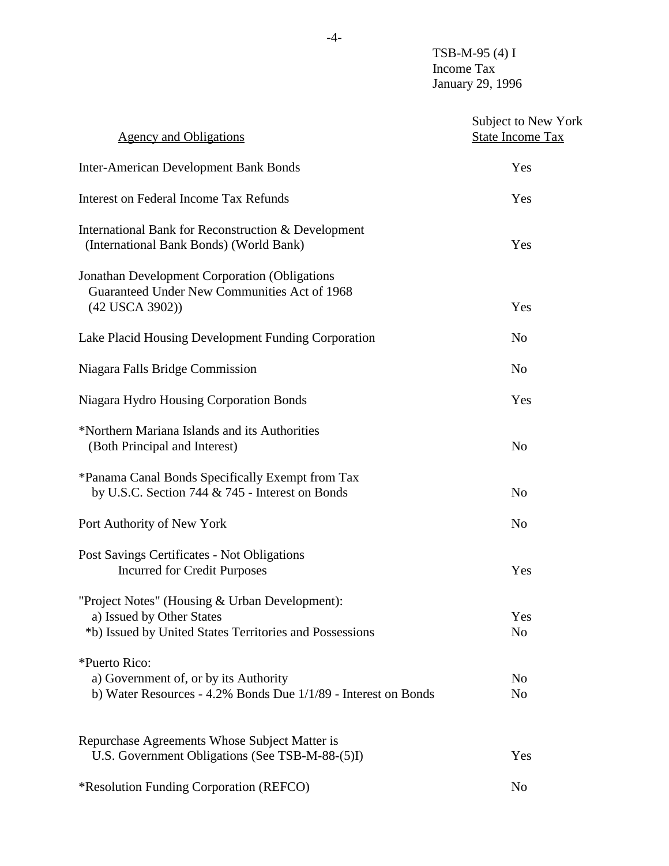| <b>Agency and Obligations</b>                                                                                                          | Subject to New York<br><b>State Income Tax</b> |
|----------------------------------------------------------------------------------------------------------------------------------------|------------------------------------------------|
| <b>Inter-American Development Bank Bonds</b>                                                                                           | Yes                                            |
| Interest on Federal Income Tax Refunds                                                                                                 | Yes                                            |
| International Bank for Reconstruction & Development<br>(International Bank Bonds) (World Bank)                                         | Yes                                            |
| <b>Jonathan Development Corporation (Obligations</b><br>Guaranteed Under New Communities Act of 1968<br>(42 USCA 3902))                | Yes                                            |
| Lake Placid Housing Development Funding Corporation                                                                                    | N <sub>0</sub>                                 |
| Niagara Falls Bridge Commission                                                                                                        | N <sub>0</sub>                                 |
| Niagara Hydro Housing Corporation Bonds                                                                                                | Yes                                            |
| *Northern Mariana Islands and its Authorities<br>(Both Principal and Interest)                                                         | N <sub>o</sub>                                 |
| *Panama Canal Bonds Specifically Exempt from Tax<br>by U.S.C. Section 744 & 745 - Interest on Bonds                                    | N <sub>o</sub>                                 |
| Port Authority of New York                                                                                                             | N <sub>o</sub>                                 |
| Post Savings Certificates - Not Obligations<br><b>Incurred for Credit Purposes</b>                                                     | Yes                                            |
| "Project Notes" (Housing & Urban Development):<br>a) Issued by Other States<br>*b) Issued by United States Territories and Possessions | Yes<br>N <sub>o</sub>                          |
| *Puerto Rico:<br>a) Government of, or by its Authority<br>b) Water Resources - 4.2% Bonds Due 1/1/89 - Interest on Bonds               | N <sub>0</sub><br>N <sub>0</sub>               |
| Repurchase Agreements Whose Subject Matter is<br>U.S. Government Obligations (See TSB-M-88-(5)I)                                       | Yes                                            |
| *Resolution Funding Corporation (REFCO)                                                                                                | N <sub>0</sub>                                 |